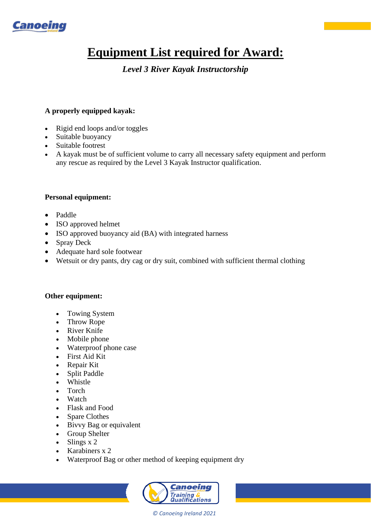

# **Equipment List required for Award:**

# *Level 3 River Kayak Instructorship*

## **A properly equipped kayak:**

- Rigid end loops and/or toggles
- Suitable buoyancy
- Suitable footrest
- A kayak must be of sufficient volume to carry all necessary safety equipment and perform any rescue as required by the Level 3 Kayak Instructor qualification.

### **Personal equipment:**

- Paddle
- ISO approved helmet
- ISO approved buoyancy aid (BA) with integrated harness
- Spray Deck
- Adequate hard sole footwear
- Wetsuit or dry pants, dry cag or dry suit, combined with sufficient thermal clothing

#### **Other equipment:**

- Towing System
- Throw Rope
- River Knife
- Mobile phone
- Waterproof phone case
- First Aid Kit
- Repair Kit
- Split Paddle
- Whistle
- Torch
- Watch
- Flask and Food
- Spare Clothes
- Bivvy Bag or equivalent
- Group Shelter
- Slings x 2
- Karabiners x 2
- Waterproof Bag or other method of keeping equipment dry